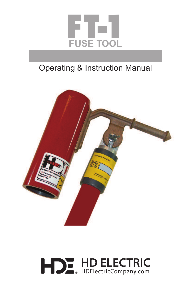

## Operating & Instruction Manual



# **DE HD ELECTRIC** н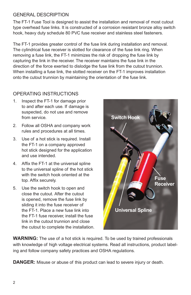### GENERAL DESCRIPTION

The FT-1 Fuse Tool is designed to assist the installation and removal of most cutout type overhead fuse links. It is constructed of a corrosion resistant bronze alloy switch hook, heavy duty schedule 80 PVC fuse receiver and stainless steel fasteners.

The FT-1 provides greater control of the fuse link during installation and removal. The cylindrical fuse receiver is slotted for clearance of the fuse link ring. When removing a fuse link, the FT-1 minimizes the risk of dropping the fuse link by capturing the link in the receiver. The receiver maintains the fuse link in the direction of the force exerted to dislodge the fuse link from the cutout trunnion. When installing a fuse link, the slotted receiver on the FT-1 improves installation onto the cutout trunnion by maintaining the orientation of the fuse link.

### OPERATING INSTRUCTIONS

- 1. Inspect the FT-1 for damage prior to and after each use. If damage is suspected, do not use and remove from service.
- 2. Follow all OSHA and company work rules and procedures at all times.
- 3. Use of a hot stick is required. Install the FT-1 on a company approved hot stick designed for the application and use intended.
- 4. Affix the FT-1 at the universal spline to the universal spline of the hot stick with the switch hook oriented at the top. Affix securely.
- 5. Use the switch hook to open and close the cutout. After the cutout is opened, remove the fuse link by sliding it into the fuse receiver of the FT-1. Place a new fuse link into the FT-1 fuse receiver, install the fuse link in the cutout trunnion and close the cutout to complete the installation.



**WARNING:** The use of a hot stick is required. To be used by trained professionals with knowledge of high voltage electrical systems. Read all instructions, product labeling and follow company safety practices and OSHA regulations.

**DANGER:** Misuse or abuse of this product can lead to severe injury or death.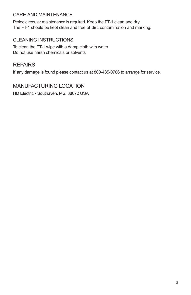#### CARE AND MAINTENANCE

Periodic regular maintenance is required. Keep the FT-1 clean and dry. The FT-1 should be kept clean and free of dirt, contamination and marking.

### CLEANING INSTRUCTIONS

To clean the FT-1 wipe with a damp cloth with water. Do not use harsh chemicals or solvents.

### REPAIRS

If any damage is found please contact us at 800-435-0786 to arrange for service.

MANUFACTURING LOCATION HD Electric • Southaven, MS, 38672 USA